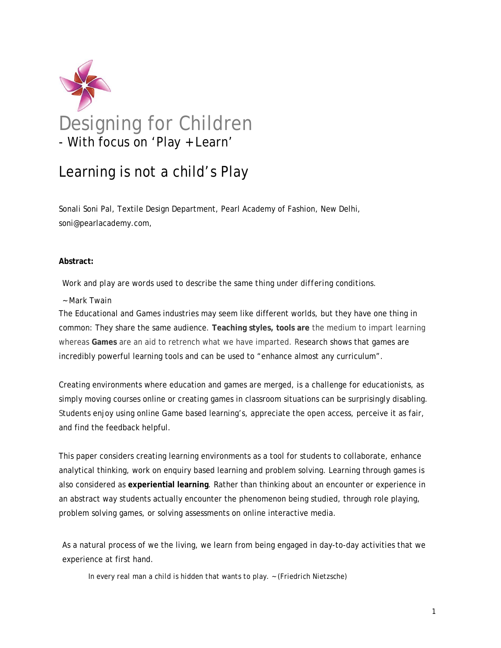

# Learning is not a child's Play

Sonali Soni Pal, Textile Design Department, Pearl Academy of Fashion, New Delhi, soni@pearlacademy.com,

#### **Abstract:**

#### *Work and play are words used to describe the same thing under differing conditions.*

#### *~ Mark Twain*

The Educational and Games industries may seem like different worlds, but they have one thing in common: They share the same audience. **Teaching styles, tools are** the medium to impart learning whereas **Games** are an aid to retrench what we have imparted. Research shows that games are incredibly powerful learning tools and can be used to "enhance almost any curriculum".

Creating environments where education and games are merged, is a challenge for educationists, as simply moving courses online or creating games in classroom situations can be surprisingly disabling. Students enjoy using online Game based learning's, appreciate the open access, perceive it as fair, and find the feedback helpful.

This paper considers creating learning environments as a tool for students to collaborate, enhance analytical thinking, work on enquiry based learning and problem solving. Learning through games is also considered as **experiential learning**. Rather than thinking about an encounter or experience in an abstract way students actually encounter the phenomenon being studied, through role playing, problem solving games, or solving assessments on online interactive media.

As a natural process of we the living, we learn from being engaged in day-to-day activities that we experience at first hand.

*In every real man a child is hidden that wants to play. ~ (Friedrich Nietzsche)*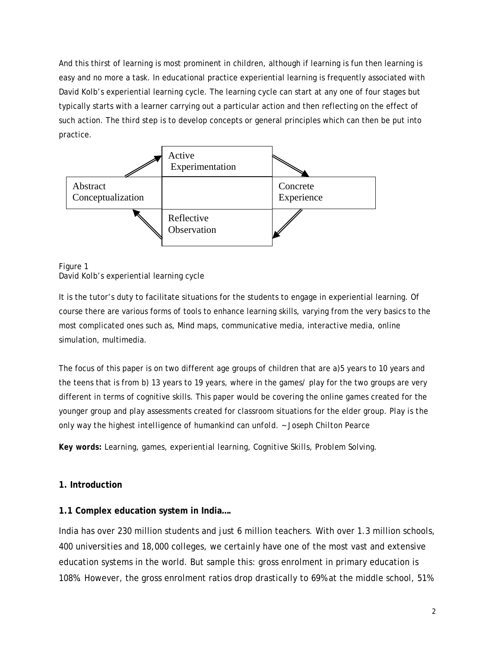And this thirst of learning is most prominent in children, although if learning is fun then learning is easy and no more a task. In educational practice experiential learning is frequently associated with David Kolb's experiential learning cycle. The learning cycle can start at any one of four stages but typically starts with a learner carrying out a particular action and then reflecting on the effect of such action. The third step is to develop concepts or general principles which can then be put into practice.



#### Figure 1 David Kolb's experiential learning cycle

It is the tutor's duty to facilitate situations for the students to engage in experiential learning. Of course there are various forms of tools to enhance learning skills, varying from the very basics to the most complicated ones such as, Mind maps, communicative media, interactive media, online simulation, multimedia.

The focus of this paper is on two different age groups of children that are a)5 years to 10 years and the teens that is from b) 13 years to 19 years, where in the games/ play for the two groups are very different in terms of cognitive skills. This paper would be covering the online games created for the younger group and play assessments created for classroom situations for the elder group. *Play is the only way the highest intelligence of humankind can unfold. ~ Joseph Chilton Pearce* 

*Key words: Learning, games, experiential learning, Cognitive Skills, Problem Solving.* 

### **1. Introduction**

### **1.1 Complex education system in India….**

India has over 230 million students and just 6 million teachers. With over 1.3 million schools, 400 universities and 18,000 colleges, we certainly have one of the most vast and extensive education systems in the world. But sample this: gross enrolment in primary education is 108%. However, the gross enrolment ratios drop drastically to 69% at the middle school, 51%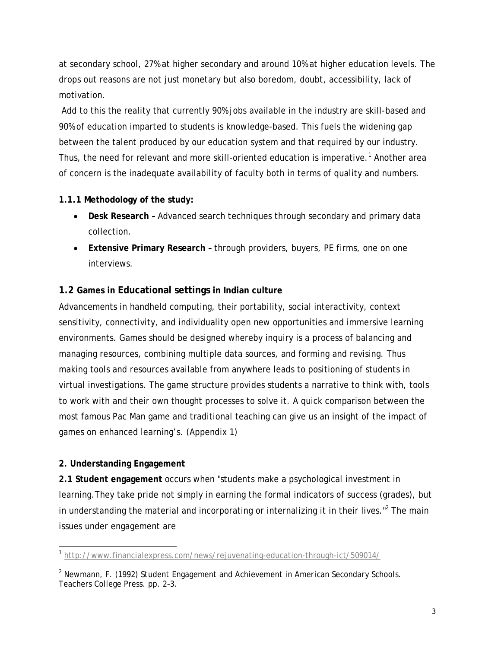at secondary school, 27% at higher secondary and around 10% at higher education levels. The drops out reasons are not just monetary but also boredom, doubt, accessibility, lack of motivation.

 Add to this the reality that currently 90% jobs available in the industry are skill-based and 90% of education imparted to students is knowledge-based. This fuels the widening gap between the talent produced by our education system and that required by our industry. Thus, the need for relevant and more skill-oriented education is imperative.<sup>1</sup> Another area of concern is the inadequate availability of faculty both in terms of quality and numbers.

## **1.1.1 Methodology of the study:**

- **Desk Research** Advanced search techniques through secondary and primary data collection.
- **Extensive Primary Research –** through providers, buyers, PE firms, one on one interviews.

# **1.2 Games in Educational settings in Indian culture**

Advancements in handheld computing, their portability, social interactivity, context sensitivity, connectivity, and individuality open new opportunities and immersive learning environments. Games should be designed whereby inquiry is a process of balancing and managing resources, combining multiple data sources, and forming and revising. Thus making tools and resources available from anywhere leads to positioning of students in virtual investigations. The game structure provides students a narrative to think with, tools to work with and their own thought processes to solve it. A quick comparison between the most famous Pac Man game and traditional teaching can give us an insight of the impact of games on enhanced learning's. (Appendix 1)

# **2. Understanding Engagement**

**2.1 Student engagement** occurs when "students make a psychological investment in learning.They take pride not simply in earning the formal indicators of success (grades), but in understanding the material and incorporating or internalizing it in their lives."<sup>2</sup> The main issues under engagement are

 $\overline{a}$ <sup>1</sup> http://www.financialexpress.com/news/rejuvenating-education-through-ict/509014/

<sup>2</sup> Newmann, F. (1992) *Student Engagement and Achievement in American Secondary Schools*. Teachers College Press. pp. 2–3.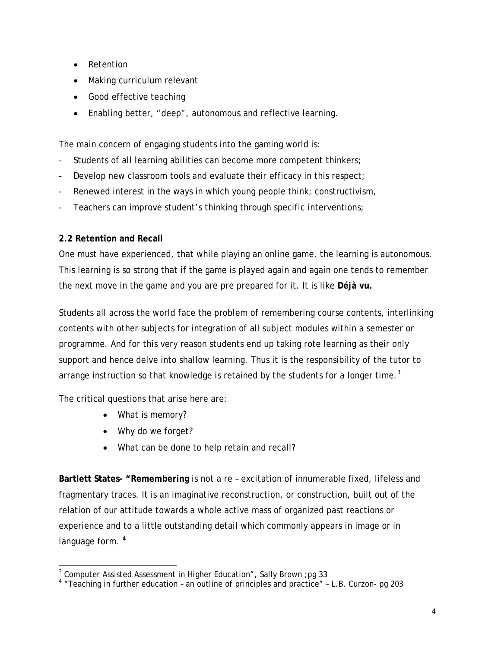- Retention
- Making curriculum relevant
- Good effective teaching
- Enabling better, "deep", autonomous and reflective learning.

The main concern of engaging students into the gaming world is:

- Students of all learning abilities can become more competent thinkers;
- Develop new classroom tools and evaluate their efficacy in this respect;
- Renewed interest in the ways in which young people think; constructivism,
- Teachers can improve student's thinking through specific interventions;

### **2.2 Retention and Recall**

One must have experienced, that while playing an online game, the learning is autonomous. This learning is so strong that if the game is played again and again one tends to remember the next move in the game and you are pre prepared for it. It is like **Déjà vu***.*

Students all across the world face the problem of remembering course contents, interlinking contents with other subjects for integration of all subject modules within a semester or programme. And for this very reason students end up taking rote learning as their only support and hence delve into shallow learning. Thus it is the responsibility of the tutor to arrange instruction so that knowledge is retained by the students for a longer time.<sup>3</sup>

The critical questions that arise here are:

- What is memory?
- Why do we forget?
- What can be done to help retain and recall?

**Bartlett States- "Remembering** is not a re – excitation of innumerable fixed, lifeless and fragmentary traces. It is an imaginative reconstruction, or construction, built out of the relation of our attitude towards a whole active mass of organized past reactions or experience and to a little outstanding detail which commonly appears in image or in language form. **<sup>4</sup>**

a<br>| Computer Assisted Assessment in Higher Education", Sally Brown ;pg 33<br>| Teaching in further education - an outline of principles and practice" - L.B. Curzon- pg 203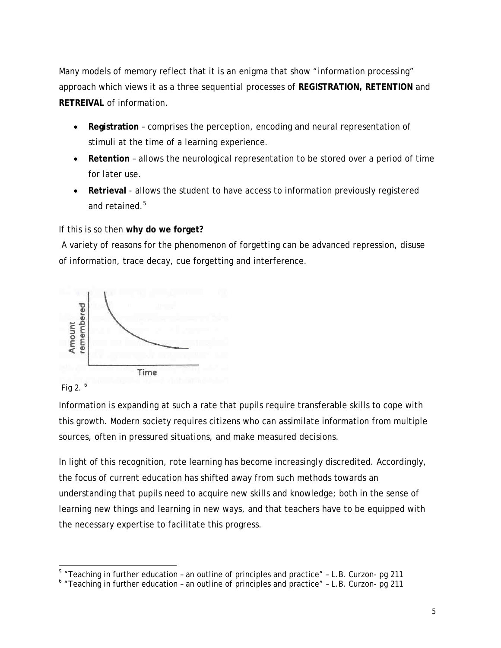Many models of memory reflect that it is an enigma that show "information processing" approach which views it as a three sequential processes of **REGISTRATION, RETENTION** and **RETREIVAL** of information.

- **Registration** comprises the perception, encoding and neural representation of stimuli at the time of a learning experience.
- **Retention**  allows the neurological representation to be stored over a period of time for later use.
- **Retrieval** allows the student to have access to information previously registered and retained.<sup>5</sup>

If this is so then **why do we forget?** 

 A variety of reasons for the phenomenon of forgetting can be advanced repression, disuse of information, trace decay, cue forgetting and interference.





Information is expanding at such a rate that pupils require transferable skills to cope with this growth. Modern society requires citizens who can assimilate information from multiple sources, often in pressured situations, and make measured decisions.

In light of this recognition, rote learning has become increasingly discredited. Accordingly, the focus of current education has shifted away from such methods towards an understanding that pupils need to acquire new skills and knowledge; both in the sense of learning new things and learning in new ways, and that teachers have to be equipped with the necessary expertise to facilitate this progress.

<sup>&</sup>lt;u>F</u><br>Theaching in further education - an outline of principles and practice" - L.B. Curzon- pg 211

 $6$  "Teaching in further education - an outline of principles and practice" - L.B. Curzon- pg 211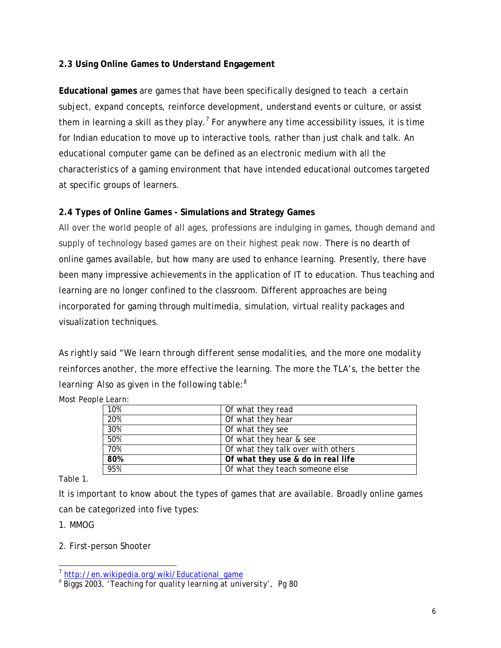### **2.3 Using Online Games to Understand Engagement**

**Educational games** are games that have been specifically designed to teach a certain subject, expand concepts, reinforce development, understand events or culture, or assist them in learning a skill as they play.<sup>7</sup> For anywhere any time accessibility issues, it is time for Indian education to move up to interactive tools, rather than just chalk and talk. An educational computer game can be defined as an electronic medium with all the characteristics of a gaming environment that have intended educational outcomes targeted at specific groups of learners.

### **2.4 Types of Online Games - Simulations and Strategy Games**

All over the world people of all ages, professions are indulging in games, though demand and supply of technology based games are on their highest peak now. There is no dearth of online games available, but how many are used to enhance learning. Presently, there have been many impressive achievements in the application of IT to education. Thus teaching and learning are no longer confined to the classroom. Different approaches are being incorporated for gaming through multimedia, simulation, virtual reality packages and visualization techniques.

*As rightly said "We learn through different sense modalities, and the more one modality reinforces another, the more effective the learning. The more the TLA's, the better the learning. Also as given in the following table:<sup>8</sup>*

| Of what they read                  |
|------------------------------------|
| Of what they hear                  |
| Of what they see                   |
| Of what they hear & see            |
| Of what they talk over with others |
| Of what they use & do in real life |
| Of what they teach someone else    |
|                                    |

*Most People Learn:* 

Table 1.

It is important to know about the types of games that are available. Broadly online games can be categorized into five types:

1. MMOG

2. First-person Shooter

 $\overline{a}$ 

<sup>&</sup>lt;sup>7</sup> http://en.wikipedia.org/wiki/Educational\_game<br><sup>8</sup> Biggs 2003, 'Teaching for quality learning at university', Pg 80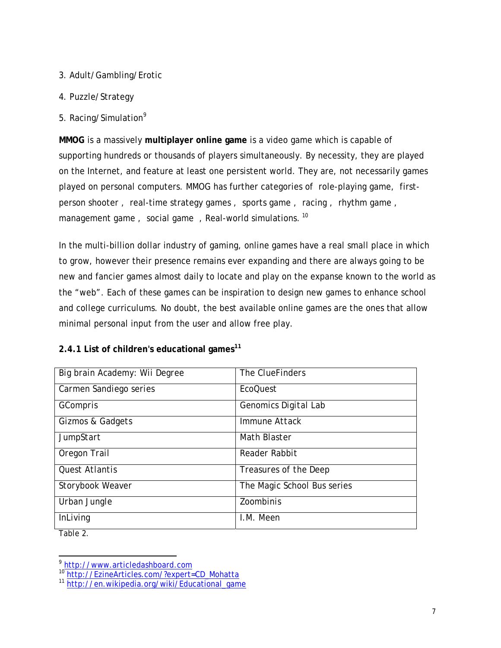#### 3. Adult/Gambling/Erotic

- 4. Puzzle/Strategy
- 5. Racing/Simulation<sup>9</sup>

**MMOG** is a massively **multiplayer online game** is a video game which is capable of supporting hundreds or thousands of players simultaneously. By necessity, they are played on the Internet, and feature at least one persistent world. They are, not necessarily games played on personal computers. MMOG has further categories of role-playing game, firstperson shooter , real-time strategy games , sports game , racing , rhythm game , management game, social game, Real-world simulations.<sup>10</sup>

In the multi-billion dollar industry of gaming, online games have a real small place in which to grow, however their presence remains ever expanding and there are always going to be new and fancier games almost daily to locate and play on the expanse known to the world as the "web". Each of these games can be inspiration to design new games to enhance school and college curriculums. No doubt, the best available online games are the ones that allow minimal personal input from the user and allow free play.

### **2.4.1 List of children's educational games<sup>11</sup>**

| Big brain Academy: Wii Degree | The ClueFinders             |
|-------------------------------|-----------------------------|
| Carmen Sandiego series        | EcoQuest                    |
| GCompris                      | Genomics Digital Lab        |
| Gizmos & Gadgets              | <i>Immune Attack</i>        |
| <b>JumpStart</b>              | Math Blaster                |
| Oregon Trail                  | Reader Rabbit               |
| Quest Atlantis                | Treasures of the Deep       |
| Storybook Weaver              | The Magic School Bus series |
| Urban Jungle                  | <b>Zoombinis</b>            |
| <b>InLiving</b>               | I.M. Meen                   |

Table 2.

 $\overline{a}$ 

<sup>&</sup>lt;sup>9</sup> http://www.articledashboard.com<br><sup>10</sup> http://EzineArticles.com/?expert=CD\_Mohatta

<sup>11</sup> http://en.wikipedia.org/wiki/Educational\_game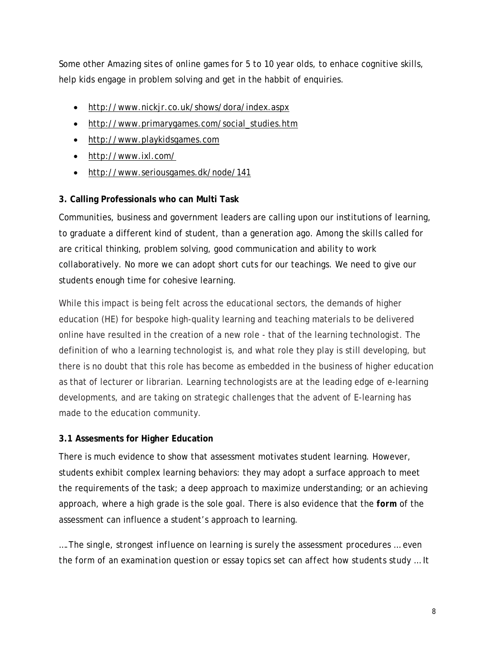Some other Amazing sites of online games for 5 to 10 year olds, to enhace cognitive skills, help kids engage in problem solving and get in the habbit of enquiries.

- http://www.nickjr.co.uk/shows/dora/index.aspx
- http://www.primarygames.com/social\_studies.htm
- http://www.playkidsgames.com
- http://www.ixl.com/
- http://www.seriousgames.dk/node/141

### **3. Calling Professionals who can Multi Task**

Communities, business and government leaders are calling upon our institutions of learning, to graduate a different kind of student, than a generation ago. Among the skills called for are critical thinking, problem solving, good communication and ability to work collaboratively. No more we can adopt short cuts for our teachings. We need to give our students enough time for cohesive learning.

While this impact is being felt across the educational sectors, the demands of higher education (HE) for bespoke high-quality learning and teaching materials to be delivered online have resulted in the creation of a new role - that of the learning technologist. The definition of who a learning technologist is, and what role they play is still developing, but there is no doubt that this role has become as embedded in the business of higher education as that of lecturer or librarian. Learning technologists are at the leading edge of e-learning developments, and are taking on strategic challenges that the advent of E-learning has made to the education community.

### **3.1 Assesments for Higher Education**

There is much evidence to show that assessment motivates student learning. However, students exhibit complex learning behaviors: they may adopt a surface approach to meet the requirements of the task; a deep approach to maximize understanding; or an achieving approach, where a high grade is the sole goal. There is also evidence that the *form* of the assessment can influence a student's approach to learning.

*….The single, strongest influence on learning is surely the assessment procedures … even the form of an examination question or essay topics set can affect how students study … It*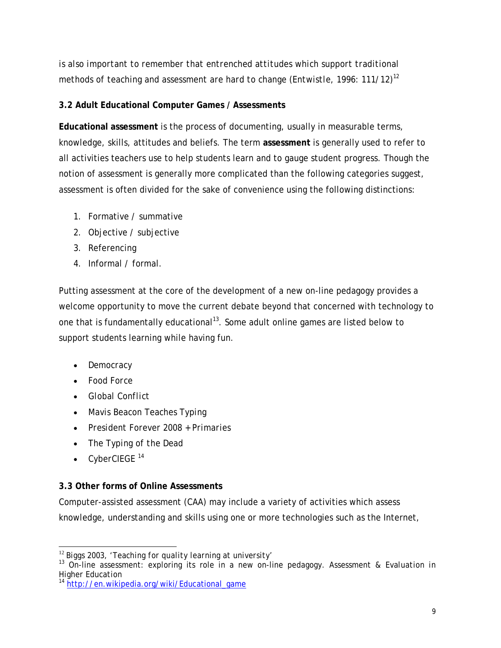*is also important to remember that entrenched attitudes which support traditional methods of teaching and assessment are hard to change (Entwistle, 1996: 111/12)<sup>12</sup>*

# **3.2 Adult Educational Computer Games / Assessments**

**Educational assessment** is the process of documenting, usually in measurable terms, knowledge, skills, attitudes and beliefs. The term **assessment** is generally used to refer to all activities teachers use to help students learn and to gauge student progress. Though the notion of assessment is generally more complicated than the following categories suggest, assessment is often divided for the sake of convenience using the following distinctions:

- 1. Formative / summative
- 2. Objective / subjective
- 3. Referencing
- 4. Informal / formal.

Putting assessment at the core of the development of a new on-line pedagogy provides a welcome opportunity to move the current debate beyond that concerned with technology to one that is fundamentally educational<sup>13</sup>. Some adult online games are listed below to support students learning while having fun.

- *Democracy*
- *Food Force*
- *Global Conflict*
- *Mavis Beacon Teaches Typing*
- *President Forever 2008 + Primaries*
- *The Typing of the Dead*
- *CyberCIEGE* <sup>14</sup>

# **3.3 Other forms of Online Assessments**

Computer-assisted assessment (CAA) may include a variety of activities which assess knowledge, understanding and skills using one or more technologies such as the Internet,

 $\overline{a}$ <sup>12</sup> *Biggs 2003, 'Teaching for quality learning at university'*

<sup>13</sup> On-line assessment: exploring its role in a new on-line pedagogy. *Assessment & Evaluation in Higher Education*

<sup>&</sup>lt;sup>14</sup> http://en.wikipedia.org/wiki/Educational\_game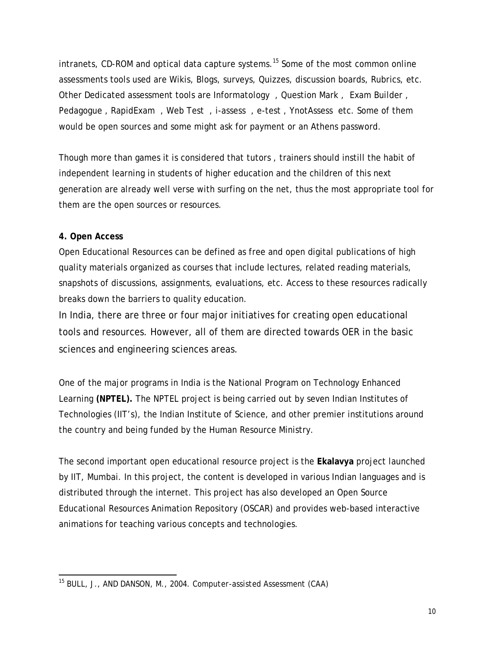$intrans$ , CD-ROM and optical data capture systems.<sup>15</sup> Some of the most common online assessments tools used are Wikis, Blogs, surveys, Quizzes, discussion boards, Rubrics, etc. Other Dedicated assessment tools are Informatology , Question Mark , Exam Builder , Pedagogue , RapidExam , Web Test , i-assess , e-test , YnotAssess etc. Some of them would be open sources and some might ask for payment or an Athens password.

Though more than games it is considered that tutors , trainers should instill the habit of independent learning in students of higher education and the children of this next generation are already well verse with surfing on the net, thus the most appropriate tool for them are the open sources or resources.

### **4. Open Access**

Open Educational Resources can be defined as free and open digital publications of high quality materials organized as courses that include lectures, related reading materials, snapshots of discussions, assignments, evaluations, etc. Access to these resources radically breaks down the barriers to quality education.

In India, there are three or four major initiatives for creating open educational tools and resources. However, all of them are directed towards OER in the basic sciences and engineering sciences areas.

One of the major programs in India is the National Program on Technology Enhanced Learning **(NPTEL).** The NPTEL project is being carried out by seven Indian Institutes of Technologies (IIT's), the Indian Institute of Science, and other premier institutions around the country and being funded by the Human Resource Ministry.

The second important open educational resource project is the **Ekalavya** project launched by IIT, Mumbai. In this project, the content is developed in various Indian languages and is distributed through the internet. This project has also developed an Open Source Educational Resources Animation Repository (OSCAR) and provides web-based interactive animations for teaching various concepts and technologies.

 $\overline{a}$ 15 BULL, J., AND DANSON, M., 2004. *Computer-assisted Assessment (CAA)*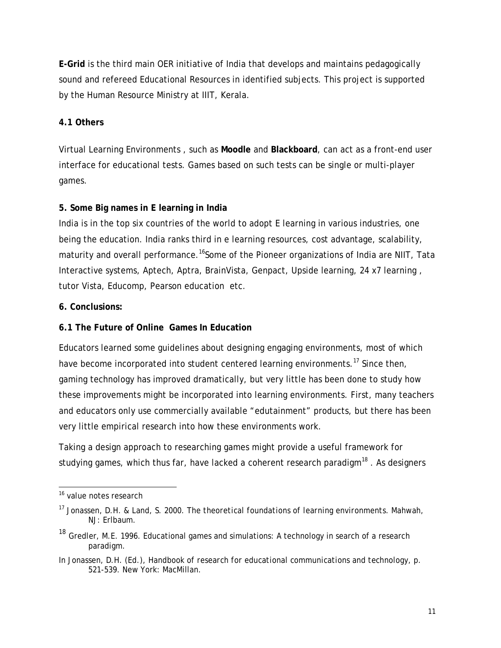**E-Grid** is the third main OER initiative of India that develops and maintains pedagogically sound and refereed Educational Resources in identified subjects. This project is supported by the Human Resource Ministry at IIIT, Kerala.

## **4.1 Others**

Virtual Learning Environments , such as **Moodle** and **Blackboard**, can act as a front-end user interface for educational tests. Games based on such tests can be single or multi-player games.

## **5. Some Big names in E learning in India**

India is in the top six countries of the world to adopt E learning in various industries, one being the education. India ranks third in e learning resources, cost advantage, scalability, maturity and overall performance.<sup>16</sup>Some of the Pioneer organizations of India are NIIT, Tata Interactive systems, Aptech, Aptra, BrainVista, Genpact, Upside learning, 24 x7 learning , tutor Vista, Educomp, Pearson education etc.

## **6. Conclusions:**

## **6.1 The Future of Online Games In Education**

Educators learned some guidelines about designing engaging environments, most of which have become incorporated into student centered learning environments.<sup>17</sup> Since then, gaming technology has improved dramatically, but very little has been done to study how these improvements might be incorporated into learning environments. First, many teachers and educators only use commercially available "edutainment" products, but there has been very little empirical research into how these environments work.

Taking a design approach to researching games might provide a useful framework for studying games, which thus far, have lacked a coherent research paradigm $18$ . As designers

 $\overline{a}$ <sup>16</sup> value notes research

<sup>17</sup> Jonassen, D.H. & Land, S. 2000. *The theoretical foundations of learning environments*. Mahwah, NJ: Erlbaum.

<sup>&</sup>lt;sup>18</sup> Gredler, M.E. 1996. Educational games and simulations: A technology in search of a research paradigm.

In Jonassen, D.H. (Ed.), *Handbook of research for educational communications and technology*, p. 521-539. New York: MacMillan.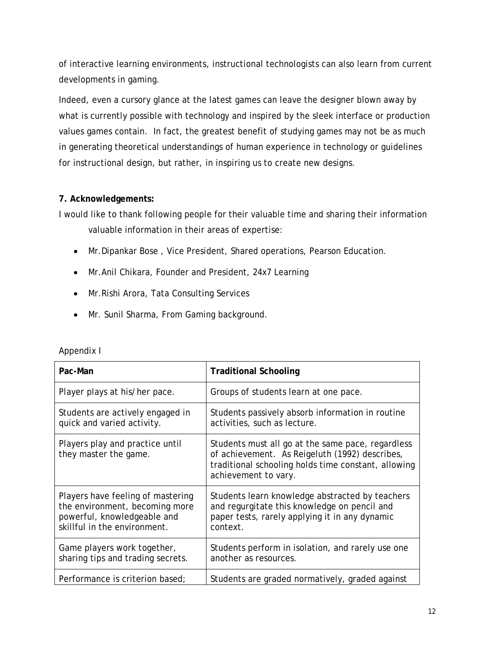of interactive learning environments, instructional technologists can also learn from current developments in gaming.

Indeed, even a cursory glance at the latest games can leave the designer blown away by what is currently possible with technology and inspired by the sleek interface or production values games contain. In fact, the greatest benefit of studying games may not be as much in generating theoretical understandings of human experience in technology or guidelines for instructional design, but rather, in inspiring us to create new designs.

### **7. Acknowledgements:**

I would like to thank following people for their valuable time and sharing their information valuable information in their areas of expertise:

- Mr.Dipankar Bose , Vice President, Shared operations, Pearson Education.
- Mr.Anil Chikara, Founder and President, 24x7 Learning
- Mr.Rishi Arora, Tata Consulting Services
- Mr. Sunil Sharma, From Gaming background.

| Pac-Man                                                                                                                            | <b>Traditional Schooling</b>                                                                                                                                                       |
|------------------------------------------------------------------------------------------------------------------------------------|------------------------------------------------------------------------------------------------------------------------------------------------------------------------------------|
| Player plays at his/her pace.                                                                                                      | Groups of students learn at one pace.                                                                                                                                              |
| Students are actively engaged in<br>quick and varied activity.                                                                     | Students passively absorb information in routine<br>activities, such as lecture.                                                                                                   |
| Players play and practice until<br>they master the game.                                                                           | Students must all go at the same pace, regardless<br>of achievement. As Reigeluth (1992) describes,<br>traditional schooling holds time constant, allowing<br>achievement to vary. |
| Players have feeling of mastering<br>the environment, becoming more<br>powerful, knowledgeable and<br>skillful in the environment. | Students learn knowledge abstracted by teachers<br>and regurgitate this knowledge on pencil and<br>paper tests, rarely applying it in any dynamic<br>context.                      |
| Game players work together,<br>sharing tips and trading secrets.                                                                   | Students perform in isolation, and rarely use one<br>another as resources.                                                                                                         |
| Performance is criterion based;                                                                                                    | Students are graded normatively, graded against                                                                                                                                    |

| Appendix I |
|------------|
|------------|